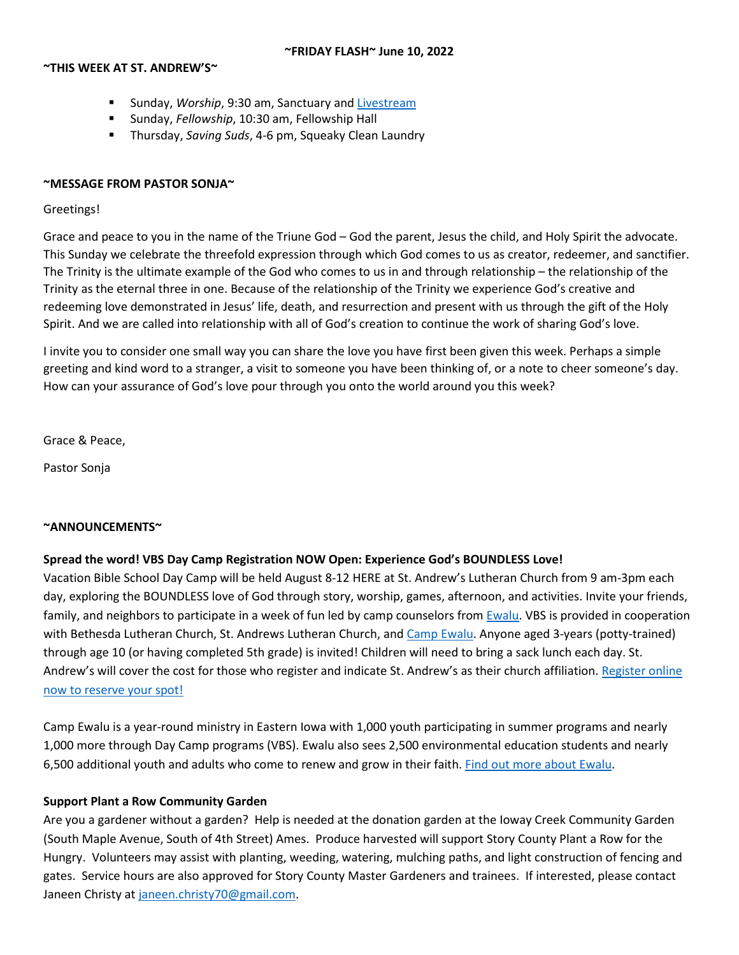# **~THIS WEEK AT ST. ANDREW'S~**

- Sunday, *Worship*, 9:30 am, Sanctuary and [Livestream](https://youtu.be/NnUETFNk8DM)
- Sunday, *Fellowship*, 10:30 am, Fellowship Hall
- Thursday, *Saving Suds*, 4-6 pm, Squeaky Clean Laundry

# **~MESSAGE FROM PASTOR SONJA~**

# Greetings!

Grace and peace to you in the name of the Triune God – God the parent, Jesus the child, and Holy Spirit the advocate. This Sunday we celebrate the threefold expression through which God comes to us as creator, redeemer, and sanctifier. The Trinity is the ultimate example of the God who comes to us in and through relationship – the relationship of the Trinity as the eternal three in one. Because of the relationship of the Trinity we experience God's creative and redeeming love demonstrated in Jesus' life, death, and resurrection and present with us through the gift of the Holy Spirit. And we are called into relationship with all of God's creation to continue the work of sharing God's love.

I invite you to consider one small way you can share the love you have first been given this week. Perhaps a simple greeting and kind word to a stranger, a visit to someone you have been thinking of, or a note to cheer someone's day. How can your assurance of God's love pour through you onto the world around you this week?

Grace & Peace,

Pastor Sonja

# **~ANNOUNCEMENTS~**

# **Spread the word! VBS Day Camp Registration NOW Open: Experience God's BOUNDLESS Love!**

Vacation Bible School Day Camp will be held August 8-12 HERE at St. Andrew's Lutheran Church from 9 am-3pm each day, exploring the BOUNDLESS love of God through story, worship, games, afternoon, and activities. Invite your friends, family, and neighbors to participate in a week of fun led by camp counselors from **Ewalu**. VBS is provided in cooperation with Bethesda Lutheran Church, St. Andrews Lutheran Church, and [Camp Ewalu.](https://ewalu.org/) Anyone aged 3-years (potty-trained) through age 10 (or having completed 5th grade) is invited! Children will need to bring a sack lunch each day. St. Andrew's will cover the cost for those who register and indicate St. Andrew's as their church affiliation[. Register online](https://bethesdanet.shelbynextchms.com/external/form/82d0890e-b883-4316-92e0-a804087573c1)  [now to reserve your spot!](https://bethesdanet.shelbynextchms.com/external/form/82d0890e-b883-4316-92e0-a804087573c1)

Camp Ewalu is a year-round ministry in Eastern Iowa with 1,000 youth participating in summer programs and nearly 1,000 more through Day Camp programs (VBS). Ewalu also sees 2,500 environmental education students and nearly 6,500 additional youth and adults who come to renew and grow in their faith[. Find out more about Ewalu.](https://ewalu.org/)

# **Support Plant a Row Community Garden**

Are you a gardener without a garden? Help is needed at the donation garden at the Ioway Creek Community Garden (South Maple Avenue, South of 4th Street) Ames. Produce harvested will support Story County Plant a Row for the Hungry. Volunteers may assist with planting, weeding, watering, mulching paths, and light construction of fencing and gates. Service hours are also approved for Story County Master Gardeners and trainees. If interested, please contact Janeen Christy at [janeen.christy70@gmail.com.](mailto:janeen.christy70@gmail.com)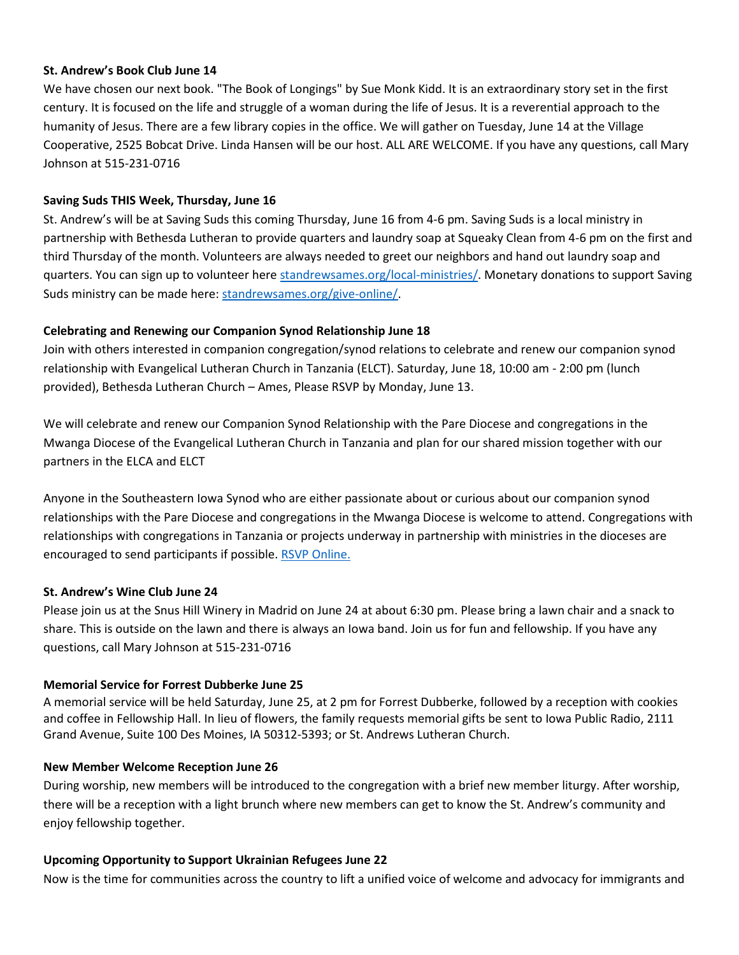#### **St. Andrew's Book Club June 14**

We have chosen our next book. "The Book of Longings" by Sue Monk Kidd. It is an extraordinary story set in the first century. It is focused on the life and struggle of a woman during the life of Jesus. It is a reverential approach to the humanity of Jesus. There are a few library copies in the office. We will gather on Tuesday, June 14 at the Village Cooperative, 2525 Bobcat Drive. Linda Hansen will be our host. ALL ARE WELCOME. If you have any questions, call Mary Johnson at 515-231-0716

# **Saving Suds THIS Week, Thursday, June 16**

St. Andrew's will be at Saving Suds this coming Thursday, June 16 from 4-6 pm. Saving Suds is a local ministry in partnership with Bethesda Lutheran to provide quarters and laundry soap at Squeaky Clean from 4-6 pm on the first and third Thursday of the month. Volunteers are always needed to greet our neighbors and hand out laundry soap and quarters. You can sign up to volunteer here [standrewsames.org/local-ministries/.](https://standrewsames.org/local-ministries/) Monetary donations to support Saving Suds ministry can be made here: [standrewsames.org/give-online/.](https://standrewsames.org/give-online/)

# **Celebrating and Renewing our Companion Synod Relationship June 18**

Join with others interested in companion congregation/synod relations to celebrate and renew our companion synod relationship with Evangelical Lutheran Church in Tanzania (ELCT). Saturday, June 18, 10:00 am - 2:00 pm (lunch provided), Bethesda Lutheran Church – Ames, Please RSVP by Monday, June 13.

We will celebrate and renew our Companion Synod Relationship with the Pare Diocese and congregations in the Mwanga Diocese of the Evangelical Lutheran Church in Tanzania and plan for our shared mission together with our partners in the ELCA and ELCT

Anyone in the Southeastern Iowa Synod who are either passionate about or curious about our companion synod relationships with the Pare Diocese and congregations in the Mwanga Diocese is welcome to attend. Congregations with relationships with congregations in Tanzania or projects underway in partnership with ministries in the dioceses are encouraged to send participants if possible. [RSVP Online.](https://seiasynod.elvanto.net/form/f3c1d0c3-166c-4284-8502-71f0d62627ad)

# **St. Andrew's Wine Club June 24**

Please join us at the Snus Hill Winery in Madrid on June 24 at about 6:30 pm. Please bring a lawn chair and a snack to share. This is outside on the lawn and there is always an Iowa band. Join us for fun and fellowship. If you have any questions, call Mary Johnson at 515-231-0716

# **Memorial Service for Forrest Dubberke June 25**

A memorial service will be held Saturday, June 25, at 2 pm for Forrest Dubberke, followed by a reception with cookies and coffee in Fellowship Hall. In lieu of flowers, the family requests memorial gifts be sent to Iowa Public Radio, 2111 Grand Avenue, Suite 100 Des Moines, IA 50312-5393; or St. Andrews Lutheran Church.

#### **New Member Welcome Reception June 26**

During worship, new members will be introduced to the congregation with a brief new member liturgy. After worship, there will be a reception with a light brunch where new members can get to know the St. Andrew's community and enjoy fellowship together.

#### **Upcoming Opportunity to Support Ukrainian Refugees June 22**

Now is the time for communities across the country to lift a unified voice of welcome and advocacy for immigrants and